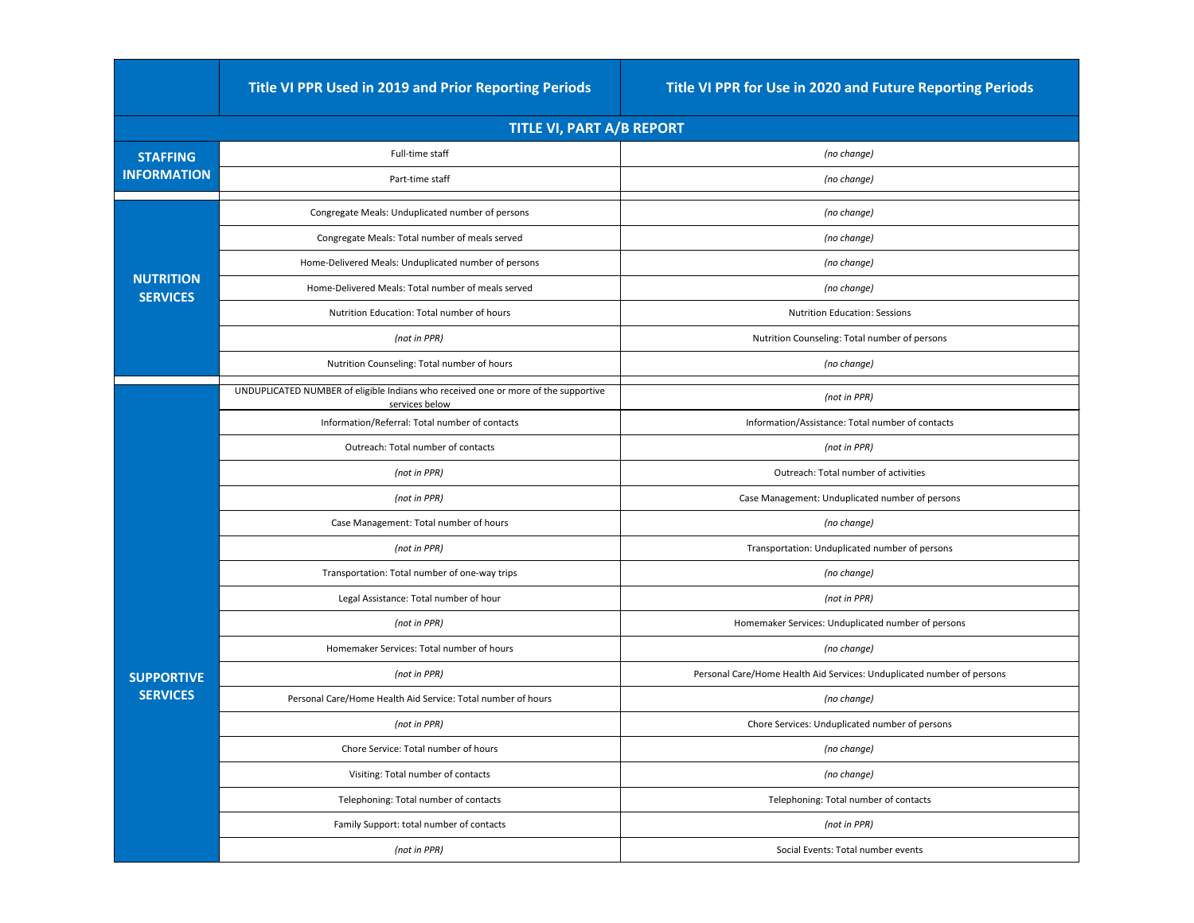|                                       | <b>Title VI PPR Used in 2019 and Prior Reporting Periods</b>                                         | Title VI PPR for Use in 2020 and Future Reporting Periods              |  |  |
|---------------------------------------|------------------------------------------------------------------------------------------------------|------------------------------------------------------------------------|--|--|
| TITLE VI, PART A/B REPORT             |                                                                                                      |                                                                        |  |  |
| <b>STAFFING</b><br><b>INFORMATION</b> | Full-time staff                                                                                      | (no change)                                                            |  |  |
|                                       | Part-time staff                                                                                      | (no change)                                                            |  |  |
| <b>NUTRITION</b><br><b>SERVICES</b>   | Congregate Meals: Unduplicated number of persons                                                     | (no change)                                                            |  |  |
|                                       | Congregate Meals: Total number of meals served                                                       | (no change)                                                            |  |  |
|                                       | Home-Delivered Meals: Unduplicated number of persons                                                 | (no change)                                                            |  |  |
|                                       | Home-Delivered Meals: Total number of meals served                                                   | (no change)                                                            |  |  |
|                                       | <b>Nutrition Education: Total number of hours</b>                                                    | <b>Nutrition Education: Sessions</b>                                   |  |  |
|                                       | (not in PPR)                                                                                         | Nutrition Counseling: Total number of persons                          |  |  |
|                                       | Nutrition Counseling: Total number of hours                                                          | (no change)                                                            |  |  |
|                                       | UNDUPLICATED NUMBER of eligible Indians who received one or more of the supportive<br>services below | (not in PPR)                                                           |  |  |
|                                       | Information/Referral: Total number of contacts                                                       | Information/Assistance: Total number of contacts                       |  |  |
|                                       | <b>Outreach: Total number of contacts</b>                                                            | (not in PPR)                                                           |  |  |
|                                       | (not in PPR)                                                                                         | <b>Outreach: Total number of activities</b>                            |  |  |
|                                       | (not in PPR)                                                                                         | Case Management: Unduplicated number of persons                        |  |  |
|                                       | Case Management: Total number of hours                                                               | (no change)                                                            |  |  |
|                                       | (not in PPR)                                                                                         | Transportation: Unduplicated number of persons                         |  |  |
|                                       | Transportation: Total number of one-way trips                                                        | (no change)                                                            |  |  |
|                                       | Legal Assistance: Total number of hour                                                               | (not in PPR)                                                           |  |  |
|                                       | (not in PPR)                                                                                         | Homemaker Services: Unduplicated number of persons                     |  |  |
|                                       | Homemaker Services: Total number of hours                                                            | (no change)                                                            |  |  |
| <b>SUPPORTIVE</b>                     | (not in PPR)                                                                                         | Personal Care/Home Health Aid Services: Unduplicated number of persons |  |  |
| <b>SERVICES</b>                       | Personal Care/Home Health Aid Service: Total number of hours                                         | (no change)                                                            |  |  |
|                                       | (not in PPR)                                                                                         | Chore Services: Unduplicated number of persons                         |  |  |
|                                       | Chore Service: Total number of hours                                                                 | (no change)                                                            |  |  |
|                                       | Visiting: Total number of contacts                                                                   | (no change)                                                            |  |  |
|                                       | Telephoning: Total number of contacts                                                                | Telephoning: Total number of contacts                                  |  |  |
|                                       | Family Support: total number of contacts                                                             | (not in PPR)                                                           |  |  |
|                                       | (not in PPR)                                                                                         | Social Events: Total number events                                     |  |  |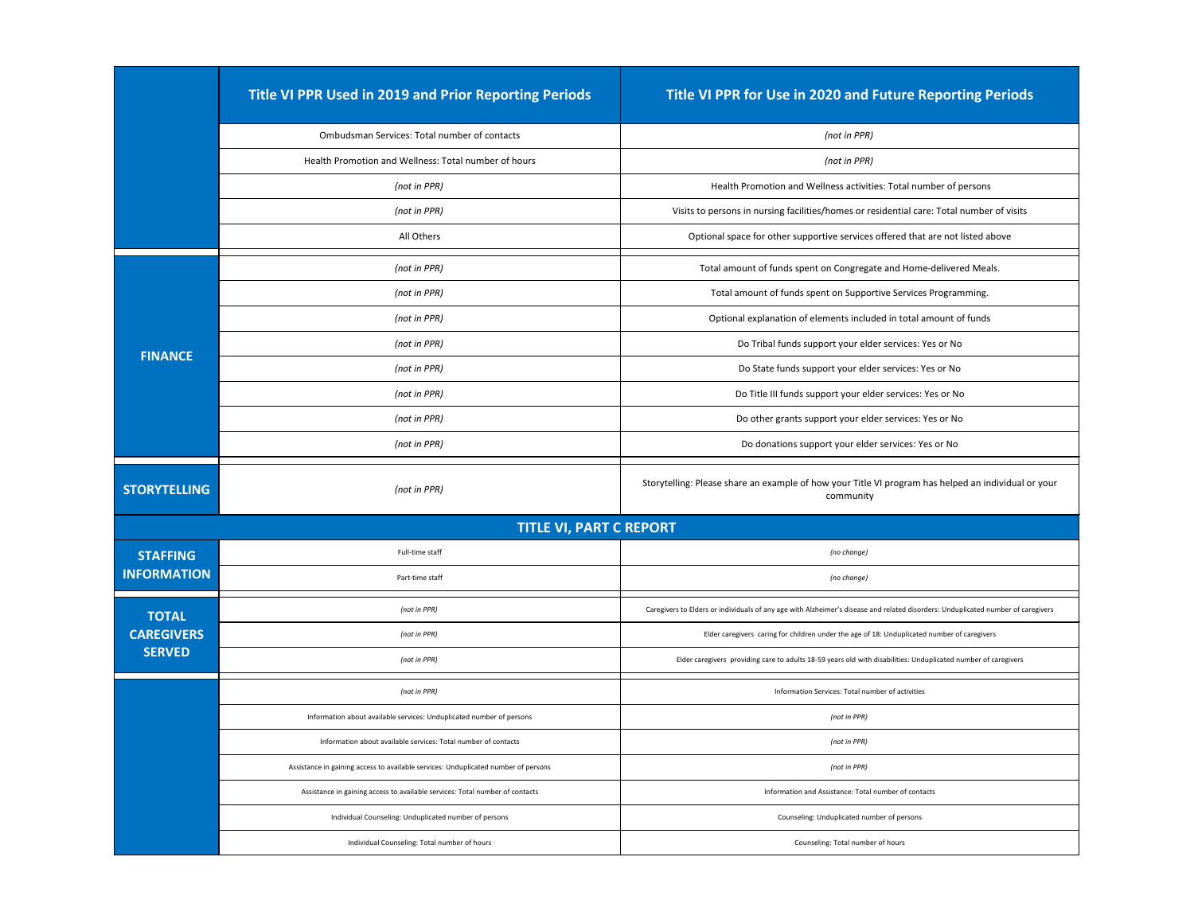|                                   | <b>Title VI PPR Used in 2019 and Prior Reporting Periods</b>                       | Title VI PPR for Use in 2020 and Future Reporting Periods                                                                        |
|-----------------------------------|------------------------------------------------------------------------------------|----------------------------------------------------------------------------------------------------------------------------------|
|                                   | <b>Ombudsman Services: Total number of contacts</b>                                | (not in PPR)                                                                                                                     |
|                                   | Health Promotion and Wellness: Total number of hours                               | (not in PPR)                                                                                                                     |
|                                   | (not in PPR)                                                                       | Health Promotion and Wellness activities: Total number of persons                                                                |
|                                   | (not in PPR)                                                                       | Visits to persons in nursing facilities/homes or residential care: Total number of visits                                        |
|                                   | All Others                                                                         | Optional space for other supportive services offered that are not listed above                                                   |
| <b>FINANCE</b>                    | (not in PPR)                                                                       | Total amount of funds spent on Congregate and Home-delivered Meals.                                                              |
|                                   | (not in PPR)                                                                       | Total amount of funds spent on Supportive Services Programming.                                                                  |
|                                   | (not in PPR)                                                                       | Optional explanation of elements included in total amount of funds                                                               |
|                                   | (not in PPR)                                                                       | Do Tribal funds support your elder services: Yes or No                                                                           |
|                                   | (not in PPR)                                                                       | Do State funds support your elder services: Yes or No                                                                            |
|                                   | (not in PPR)                                                                       | Do Title III funds support your elder services: Yes or No                                                                        |
|                                   | (not in PPR)                                                                       | Do other grants support your elder services: Yes or No                                                                           |
|                                   | (not in PPR)                                                                       | Do donations support your elder services: Yes or No                                                                              |
| <b>STORYTELLING</b>               | (not in PPR)                                                                       | Storytelling: Please share an example of how your Title VI program has helped an individual or your<br>community                 |
|                                   |                                                                                    |                                                                                                                                  |
|                                   | <b>TITLE VI, PART C REPORT</b>                                                     |                                                                                                                                  |
| <b>STAFFING</b>                   | Full-time staff                                                                    | (no change)                                                                                                                      |
| <b>INFORMATION</b>                | Part-time staff                                                                    | (no change)                                                                                                                      |
|                                   | (not in PPR)                                                                       | Caregivers to Elders or individuals of any age with Alzheimer's disease and related disorders: Unduplicated number of caregivers |
| <b>TOTAL</b><br><b>CAREGIVERS</b> | (not in PPR)                                                                       | Elder caregivers caring for children under the age of 18: Unduplicated number of caregivers                                      |
| <b>SERVED</b>                     | (not in PPR)                                                                       | Elder caregivers providing care to adults 18-59 years old with disabilities: Unduplicated number of caregivers                   |
|                                   | (not in PPR)                                                                       | Information Services: Total number of activities                                                                                 |
|                                   | Information about available services: Unduplicated number of persons               | (not in PPR)                                                                                                                     |
|                                   | Information about available services: Total number of contacts                     | (not in PPR)                                                                                                                     |
|                                   | Assistance in gaining access to available services: Unduplicated number of persons | (not in PPR)                                                                                                                     |
|                                   | Assistance in gaining access to available services: Total number of contacts       | Information and Assistance: Total number of contacts                                                                             |
|                                   | Individual Counseling: Unduplicated number of persons                              | Counseling: Unduplicated number of persons                                                                                       |